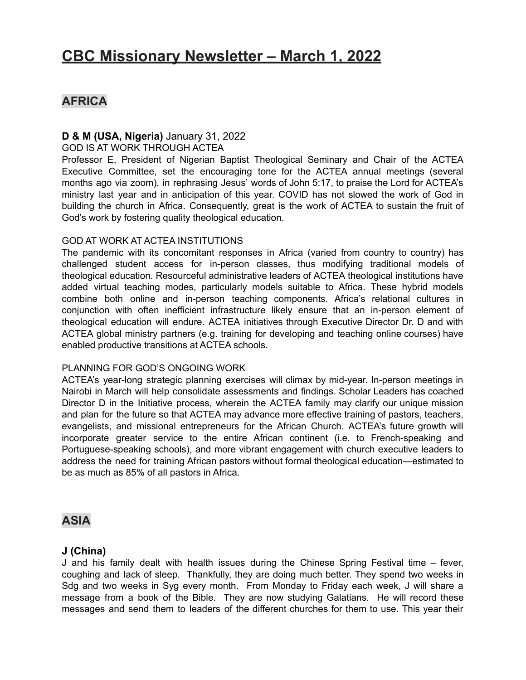# **CBC Missionary Newsletter – March 1, 2022**

# **AFRICA**

### **D & M (USA, Nigeria)** January 31, 2022

#### GOD IS AT WORK THROUGH ACTEA

Professor E, President of Nigerian Baptist Theological Seminary and Chair of the ACTEA Executive Committee, set the encouraging tone for the ACTEA annual meetings (several months ago via zoom), in rephrasing Jesus' words of John 5:17, to praise the Lord for ACTEA's ministry last year and in anticipation of this year. COVID has not slowed the work of God in building the church in Africa. Consequently, great is the work of ACTEA to sustain the fruit of God's work by fostering quality theological education.

### GOD AT WORK AT ACTEA INSTITUTIONS

The pandemic with its concomitant responses in Africa (varied from country to country) has challenged student access for in-person classes, thus modifying traditional models of theological education. Resourceful administrative leaders of ACTEA theological institutions have added virtual teaching modes, particularly models suitable to Africa. These hybrid models combine both online and in-person teaching components. Africa's relational cultures in conjunction with often inefficient infrastructure likely ensure that an in-person element of theological education will endure. ACTEA initiatives through Executive Director Dr. D and with ACTEA global ministry partners (e.g. training for developing and teaching online courses) have enabled productive transitions at ACTEA schools.

### PLANNING FOR GOD'S ONGOING WORK

ACTEA's year-long strategic planning exercises will climax by mid-year. In-person meetings in Nairobi in March will help consolidate assessments and findings. Scholar Leaders has coached Director D in the Initiative process, wherein the ACTEA family may clarify our unique mission and plan for the future so that ACTEA may advance more effective training of pastors, teachers, evangelists, and missional entrepreneurs for the African Church. ACTEA's future growth will incorporate greater service to the entire African continent (i.e. to French-speaking and Portuguese-speaking schools), and more vibrant engagement with church executive leaders to address the need for training African pastors without formal theological education—estimated to be as much as 85% of all pastors in Africa.

# **ASIA**

### **J (China)**

J and his family dealt with health issues during the Chinese Spring Festival time – fever, coughing and lack of sleep. Thankfully, they are doing much better. They spend two weeks in Sdg and two weeks in Syg every month. From Monday to Friday each week, J will share a message from a book of the Bible. They are now studying Galatians. He will record these messages and send them to leaders of the different churches for them to use. This year their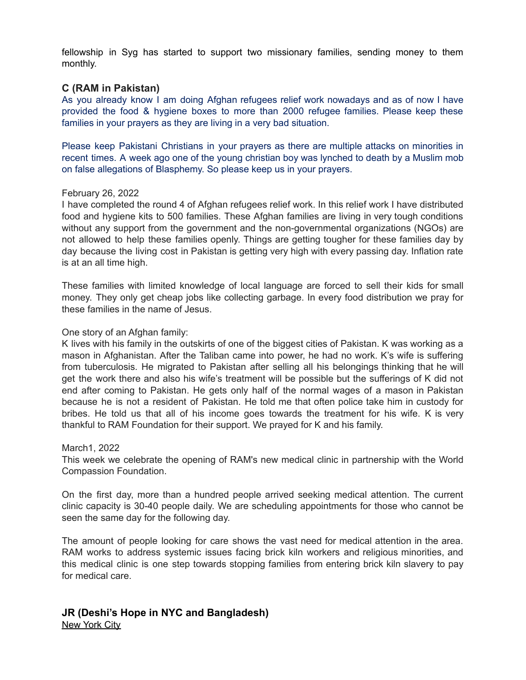fellowship in Syg has started to support two missionary families, sending money to them monthly.

### **C (RAM in Pakistan)**

As you already know I am doing Afghan refugees relief work nowadays and as of now I have provided the food & hygiene boxes to more than 2000 refugee families. Please keep these families in your prayers as they are living in a very bad situation.

Please keep Pakistani Christians in your prayers as there are multiple attacks on minorities in recent times. A week ago one of the young christian boy was lynched to death by a Muslim mob on false allegations of Blasphemy. So please keep us in your prayers.

#### February 26, 2022

I have completed the round 4 of Afghan refugees relief work. In this relief work I have distributed food and hygiene kits to 500 families. These Afghan families are living in very tough conditions without any support from the government and the non-governmental organizations (NGOs) are not allowed to help these families openly. Things are getting tougher for these families day by day because the living cost in Pakistan is getting very high with every passing day. Inflation rate is at an all time high.

These families with limited knowledge of local language are forced to sell their kids for small money. They only get cheap jobs like collecting garbage. In every food distribution we pray for these families in the name of Jesus.

### One story of an Afghan family:

K lives with his family in the outskirts of one of the biggest cities of Pakistan. K was working as a mason in Afghanistan. After the Taliban came into power, he had no work. K's wife is suffering from tuberculosis. He migrated to Pakistan after selling all his belongings thinking that he will get the work there and also his wife's treatment will be possible but the sufferings of K did not end after coming to Pakistan. He gets only half of the normal wages of a mason in Pakistan because he is not a resident of Pakistan. He told me that often police take him in custody for bribes. He told us that all of his income goes towards the treatment for his wife. K is very thankful to RAM Foundation for their support. We prayed for K and his family.

#### March1, 2022

This week we celebrate the opening of RAM's new medical clinic in partnership with the World Compassion Foundation.

On the first day, more than a hundred people arrived seeking medical attention. The current clinic capacity is 30-40 people daily. We are scheduling appointments for those who cannot be seen the same day for the following day.

The amount of people looking for care shows the vast need for medical attention in the area. RAM works to address systemic issues facing brick kiln workers and religious minorities, and this medical clinic is one step towards stopping families from entering brick kiln slavery to pay for medical care.

### **JR (Deshi's Hope in NYC and Bangladesh)** New York City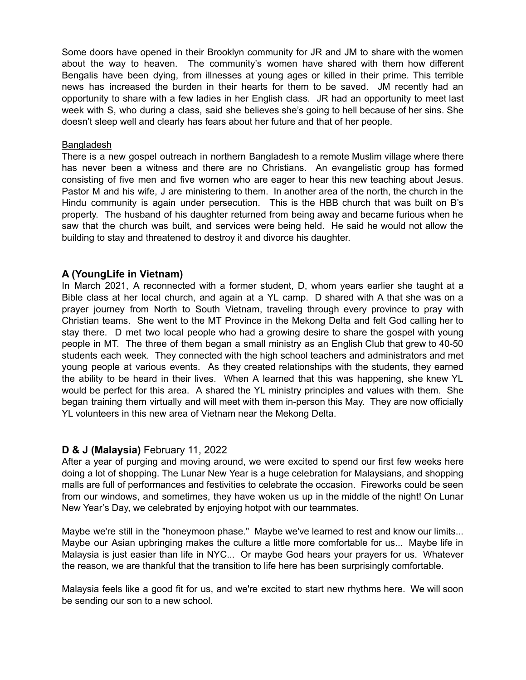Some doors have opened in their Brooklyn community for JR and JM to share with the women about the way to heaven. The community's women have shared with them how different Bengalis have been dying, from illnesses at young ages or killed in their prime. This terrible news has increased the burden in their hearts for them to be saved. JM recently had an opportunity to share with a few ladies in her English class. JR had an opportunity to meet last week with S, who during a class, said she believes she's going to hell because of her sins. She doesn't sleep well and clearly has fears about her future and that of her people.

### **Bangladesh**

There is a new gospel outreach in northern Bangladesh to a remote Muslim village where there has never been a witness and there are no Christians. An evangelistic group has formed consisting of five men and five women who are eager to hear this new teaching about Jesus. Pastor M and his wife, J are ministering to them. In another area of the north, the church in the Hindu community is again under persecution. This is the HBB church that was built on B's property. The husband of his daughter returned from being away and became furious when he saw that the church was built, and services were being held. He said he would not allow the building to stay and threatened to destroy it and divorce his daughter.

### **A (YoungLife in Vietnam)**

In March 2021, A reconnected with a former student, D, whom years earlier she taught at a Bible class at her local church, and again at a YL camp. D shared with A that she was on a prayer journey from North to South Vietnam, traveling through every province to pray with Christian teams. She went to the MT Province in the Mekong Delta and felt God calling her to stay there. D met two local people who had a growing desire to share the gospel with young people in MT. The three of them began a small ministry as an English Club that grew to 40-50 students each week. They connected with the high school teachers and administrators and met young people at various events. As they created relationships with the students, they earned the ability to be heard in their lives. When A learned that this was happening, she knew YL would be perfect for this area. A shared the YL ministry principles and values with them. She began training them virtually and will meet with them in-person this May. They are now officially YL volunteers in this new area of Vietnam near the Mekong Delta.

### **D & J (Malaysia)** February 11, 2022

After a year of purging and moving around, we were excited to spend our first few weeks here doing a lot of shopping. The Lunar New Year is a huge celebration for Malaysians, and shopping malls are full of performances and festivities to celebrate the occasion. Fireworks could be seen from our windows, and sometimes, they have woken us up in the middle of the night! On Lunar New Year's Day, we celebrated by enjoying hotpot with our teammates.

Maybe we're still in the "honeymoon phase." Maybe we've learned to rest and know our limits... Maybe our Asian upbringing makes the culture a little more comfortable for us... Maybe life in Malaysia is just easier than life in NYC... Or maybe God hears your prayers for us. Whatever the reason, we are thankful that the transition to life here has been surprisingly comfortable.

Malaysia feels like a good fit for us, and we're excited to start new rhythms here. We will soon be sending our son to a new school.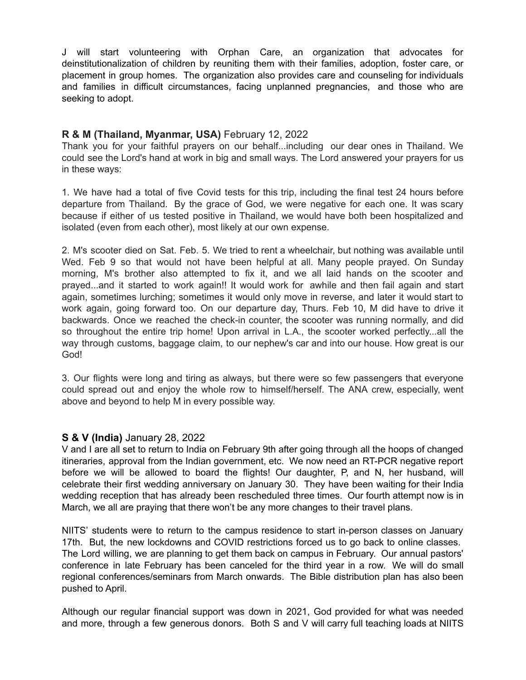J will start volunteering with Orphan Care, an organization that advocates for deinstitutionalization of children by reuniting them with their families, adoption, foster care, or placement in group homes. The organization also provides care and counseling for individuals and families in difficult circumstances, facing unplanned pregnancies, and those who are seeking to adopt.

### **R & M (Thailand, Myanmar, USA)** February 12, 2022

Thank you for your faithful prayers on our behalf...including our dear ones in Thailand. We could see the Lord's hand at work in big and small ways. The Lord answered your prayers for us in these ways:

1. We have had a total of five Covid tests for this trip, including the final test 24 hours before departure from Thailand. By the grace of God, we were negative for each one. It was scary because if either of us tested positive in Thailand, we would have both been hospitalized and isolated (even from each other), most likely at our own expense.

2. M's scooter died on Sat. Feb. 5. We tried to rent a wheelchair, but nothing was available until Wed. Feb 9 so that would not have been helpful at all. Many people prayed. On Sunday morning, M's brother also attempted to fix it, and we all laid hands on the scooter and prayed...and it started to work again!! It would work for awhile and then fail again and start again, sometimes lurching; sometimes it would only move in reverse, and later it would start to work again, going forward too. On our departure day, Thurs. Feb 10, M did have to drive it backwards. Once we reached the check-in counter, the scooter was running normally, and did so throughout the entire trip home! Upon arrival in L.A., the scooter worked perfectly...all the way through customs, baggage claim, to our nephew's car and into our house. How great is our God!

3. Our flights were long and tiring as always, but there were so few passengers that everyone could spread out and enjoy the whole row to himself/herself. The ANA crew, especially, went above and beyond to help M in every possible way.

### **S & V (India)** January 28, 2022

V and I are all set to return to India on February 9th after going through all the hoops of changed itineraries, approval from the Indian government, etc. We now need an RT-PCR negative report before we will be allowed to board the flights! Our daughter, P, and N, her husband, will celebrate their first wedding anniversary on January 30. They have been waiting for their India wedding reception that has already been rescheduled three times. Our fourth attempt now is in March, we all are praying that there won't be any more changes to their travel plans.

NIITS' students were to return to the campus residence to start in-person classes on January 17th. But, the new lockdowns and COVID restrictions forced us to go back to online classes. The Lord willing, we are planning to get them back on campus in February. Our annual pastors' conference in late February has been canceled for the third year in a row. We will do small regional conferences/seminars from March onwards. The Bible distribution plan has also been pushed to April.

Although our regular financial support was down in 2021, God provided for what was needed and more, through a few generous donors. Both S and V will carry full teaching loads at NIITS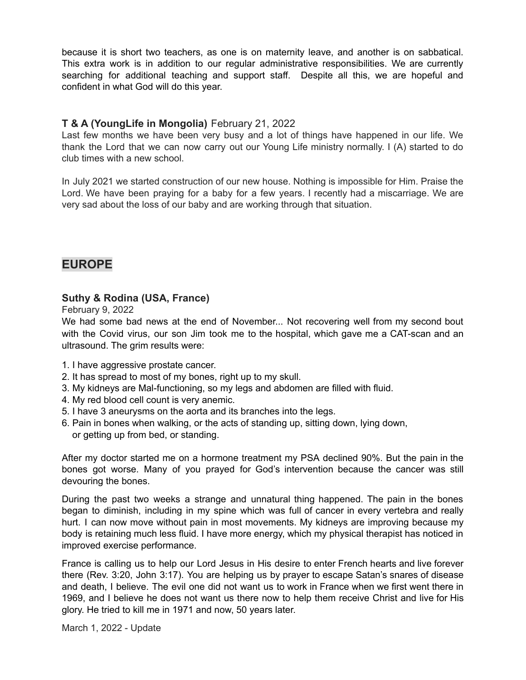because it is short two teachers, as one is on maternity leave, and another is on sabbatical. This extra work is in addition to our regular administrative responsibilities. We are currently searching for additional teaching and support staff. Despite all this, we are hopeful and confident in what God will do this year.

# **T & A (YoungLife in Mongolia)** February 21, 2022

Last few months we have been very busy and a lot of things have happened in our life. We thank the Lord that we can now carry out our Young Life ministry normally. I (A) started to do club times with a new school.

In July 2021 we started construction of our new house. Nothing is impossible for Him. Praise the Lord. We have been praying for a baby for a few years. I recently had a miscarriage. We are very sad about the loss of our baby and are working through that situation.

# **EUROPE**

### **Suthy & Rodina (USA, France)**

February 9, 2022

We had some bad news at the end of November... Not recovering well from my second bout with the Covid virus, our son Jim took me to the hospital, which gave me a CAT-scan and an ultrasound. The grim results were:

- 1. I have aggressive prostate cancer.
- 2. It has spread to most of my bones, right up to my skull.
- 3. My kidneys are Mal-functioning, so my legs and abdomen are filled with fluid.
- 4. My red blood cell count is very anemic.
- 5. I have 3 aneurysms on the aorta and its branches into the legs.
- 6. Pain in bones when walking, or the acts of standing up, sitting down, lying down, or getting up from bed, or standing.

After my doctor started me on a hormone treatment my PSA declined 90%. But the pain in the bones got worse. Many of you prayed for God's intervention because the cancer was still devouring the bones.

During the past two weeks a strange and unnatural thing happened. The pain in the bones began to diminish, including in my spine which was full of cancer in every vertebra and really hurt. I can now move without pain in most movements. My kidneys are improving because my body is retaining much less fluid. I have more energy, which my physical therapist has noticed in improved exercise performance.

France is calling us to help our Lord Jesus in His desire to enter French hearts and live forever there (Rev. 3:20, John 3:17). You are helping us by prayer to escape Satan's snares of disease and death, I believe. The evil one did not want us to work in France when we first went there in 1969, and I believe he does not want us there now to help them receive Christ and live for His glory. He tried to kill me in 1971 and now, 50 years later.

March 1, 2022 - Update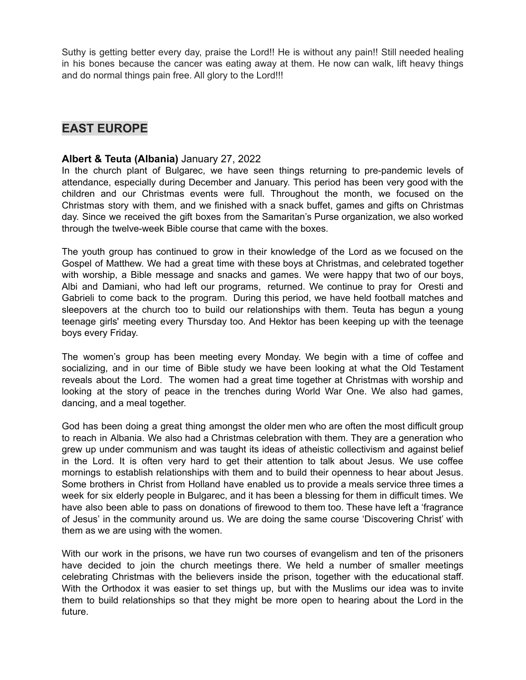Suthy is getting better every day, praise the Lord!! He is without any pain!! Still needed healing in his bones because the cancer was eating away at them. He now can walk, lift heavy things and do normal things pain free. All glory to the Lord!!!

# **EAST EUROPE**

### **Albert & Teuta (Albania)** January 27, 2022

In the church plant of Bulgarec, we have seen things returning to pre-pandemic levels of attendance, especially during December and January. This period has been very good with the children and our Christmas events were full. Throughout the month, we focused on the Christmas story with them, and we finished with a snack buffet, games and gifts on Christmas day. Since we received the gift boxes from the Samaritan's Purse organization, we also worked through the twelve-week Bible course that came with the boxes.

The youth group has continued to grow in their knowledge of the Lord as we focused on the Gospel of Matthew. We had a great time with these boys at Christmas, and celebrated together with worship, a Bible message and snacks and games. We were happy that two of our boys, Albi and Damiani, who had left our programs, returned. We continue to pray for Oresti and Gabrieli to come back to the program. During this period, we have held football matches and sleepovers at the church too to build our relationships with them. Teuta has begun a young teenage girls' meeting every Thursday too. And Hektor has been keeping up with the teenage boys every Friday.

The women's group has been meeting every Monday. We begin with a time of coffee and socializing, and in our time of Bible study we have been looking at what the Old Testament reveals about the Lord. The women had a great time together at Christmas with worship and looking at the story of peace in the trenches during World War One. We also had games, dancing, and a meal together.

God has been doing a great thing amongst the older men who are often the most difficult group to reach in Albania. We also had a Christmas celebration with them. They are a generation who grew up under communism and was taught its ideas of atheistic collectivism and against belief in the Lord. It is often very hard to get their attention to talk about Jesus. We use coffee mornings to establish relationships with them and to build their openness to hear about Jesus. Some brothers in Christ from Holland have enabled us to provide a meals service three times a week for six elderly people in Bulgarec, and it has been a blessing for them in difficult times. We have also been able to pass on donations of firewood to them too. These have left a 'fragrance of Jesus' in the community around us. We are doing the same course 'Discovering Christ' with them as we are using with the women.

With our work in the prisons, we have run two courses of evangelism and ten of the prisoners have decided to join the church meetings there. We held a number of smaller meetings celebrating Christmas with the believers inside the prison, together with the educational staff. With the Orthodox it was easier to set things up, but with the Muslims our idea was to invite them to build relationships so that they might be more open to hearing about the Lord in the future.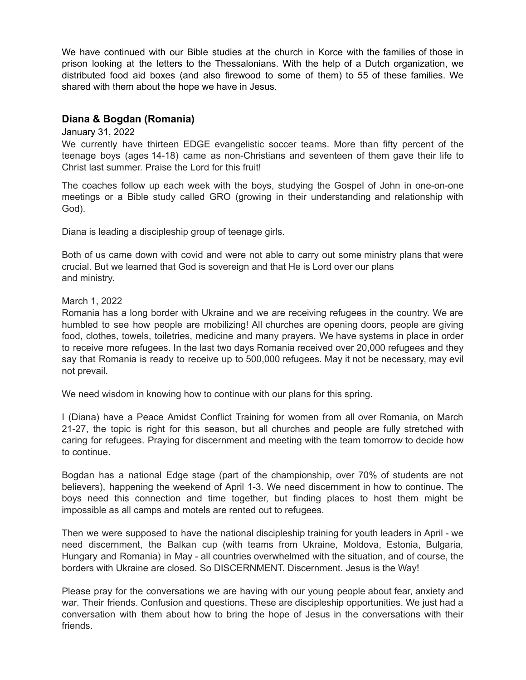We have continued with our Bible studies at the church in Korce with the families of those in prison looking at the letters to the Thessalonians. With the help of a Dutch organization, we distributed food aid boxes (and also firewood to some of them) to 55 of these families. We shared with them about the hope we have in Jesus.

### **Diana & Bogdan (Romania)**

### January 31, 2022

We currently have thirteen EDGE evangelistic soccer teams. More than fifty percent of the teenage boys (ages 14-18) came as non-Christians and seventeen of them gave their life to Christ last summer. Praise the Lord for this fruit!

The coaches follow up each week with the boys, studying the Gospel of John in one-on-one meetings or a Bible study called GRO (growing in their understanding and relationship with God).

Diana is leading a discipleship group of teenage girls.

Both of us came down with covid and were not able to carry out some ministry plans that were crucial. But we learned that God is sovereign and that He is Lord over our plans and ministry.

March 1, 2022

Romania has a long border with Ukraine and we are receiving refugees in the country. We are humbled to see how people are mobilizing! All churches are opening doors, people are giving food, clothes, towels, toiletries, medicine and many prayers. We have systems in place in order to receive more refugees. In the last two days Romania received over 20,000 refugees and they say that Romania is ready to receive up to 500,000 refugees. May it not be necessary, may evil not prevail.

We need wisdom in knowing how to continue with our plans for this spring.

I (Diana) have a Peace Amidst Conflict Training for women from all over Romania, on March 21-27, the topic is right for this season, but all churches and people are fully stretched with caring for refugees. Praying for discernment and meeting with the team tomorrow to decide how to continue.

Bogdan has a national Edge stage (part of the championship, over 70% of students are not believers), happening the weekend of April 1-3. We need discernment in how to continue. The boys need this connection and time together, but finding places to host them might be impossible as all camps and motels are rented out to refugees.

Then we were supposed to have the national discipleship training for youth leaders in April - we need discernment, the Balkan cup (with teams from Ukraine, Moldova, Estonia, Bulgaria, Hungary and Romania) in May - all countries overwhelmed with the situation, and of course, the borders with Ukraine are closed. So DISCERNMENT. Discernment. Jesus is the Way!

Please pray for the conversations we are having with our young people about fear, anxiety and war. Their friends. Confusion and questions. These are discipleship opportunities. We just had a conversation with them about how to bring the hope of Jesus in the conversations with their friends.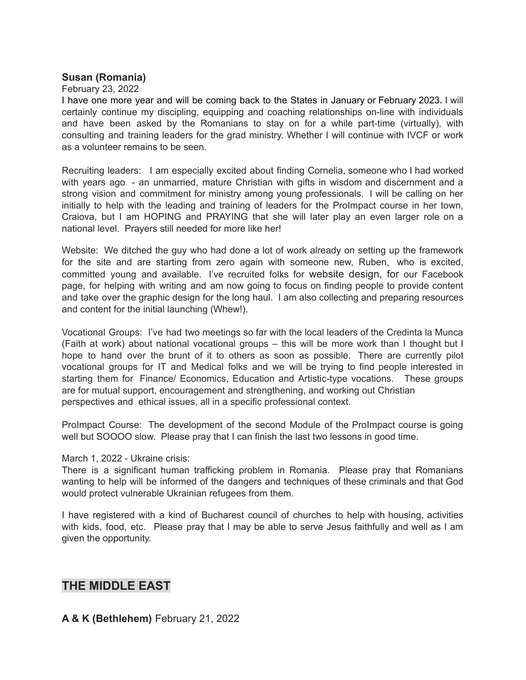### **Susan (Romania)**

### February 23, 2022

I have one more year and will be coming back to the States in January or February 2023**.** I will certainly continue my discipling, equipping and coaching relationships on-line with individuals and have been asked by the Romanians to stay on for a while part-time (virtually), with consulting and training leaders for the grad ministry. Whether I will continue with IVCF or work as a volunteer remains to be seen.

Recruiting leaders: I am especially excited about finding Cornelia, someone who I had worked with years ago - an unmarried, mature Christian with gifts in wisdom and discernment and a strong vision and commitment for ministry among young professionals. I will be calling on her initially to help with the leading and training of leaders for the ProImpact course in her town, Craiova, but I am HOPING and PRAYING that she will later play an even larger role on a national level. Prayers still needed for more like her!

Website: We ditched the guy who had done a lot of work already on setting up the framework for the site and are starting from zero again with someone new, Ruben, who is excited, committed young and available. I've recruited folks for website design, for our Facebook page, for helping with writing and am now going to focus on finding people to provide content and take over the graphic design for the long haul. I am also collecting and preparing resources and content for the initial launching (Whew!).

Vocational Groups: I've had two meetings so far with the local leaders of the Credinta la Munca (Faith at work) about national vocational groups – this will be more work than I thought but I hope to hand over the brunt of it to others as soon as possible. There are currently pilot vocational groups for IT and Medical folks and we will be trying to find people interested in starting them for Finance/ Economics, Education and Artistic-type vocations. These groups are for mutual support, encouragement and strengthening, and working out Christian perspectives and ethical issues, all in a specific professional context.

ProImpact Course: The development of the second Module of the ProImpact course is going well but SOOOO slow. Please pray that I can finish the last two lessons in good time.

### March 1, 2022 - Ukraine crisis:

There is a significant human trafficking problem in Romania. Please pray that Romanians wanting to help will be informed of the dangers and techniques of these criminals and that God would protect vulnerable Ukrainian refugees from them.

I have registered with a kind of Bucharest council of churches to help with housing, activities with kids, food, etc. Please pray that I may be able to serve Jesus faithfully and well as I am given the opportunity.

# **THE MIDDLE EAST**

**A & K (Bethlehem)** February 21, 2022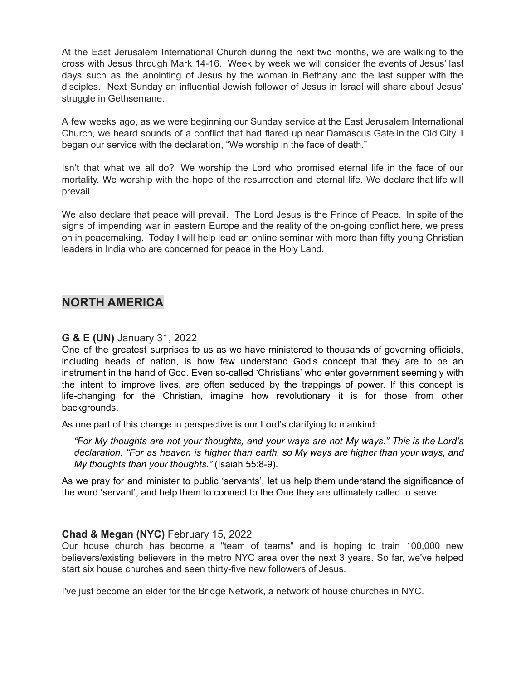At the East Jerusalem International Church during the next two months, we are walking to the cross with Jesus through Mark 14-16. Week by week we will consider the events of Jesus' last days such as the anointing of Jesus by the woman in Bethany and the last supper with the disciples. Next Sunday an influential Jewish follower of Jesus in Israel will share about Jesus' struggle in Gethsemane.

A few weeks ago, as we were beginning our Sunday service at the East Jerusalem International Church, we heard sounds of a conflict that had flared up near Damascus Gate in the Old City. I began our service with the declaration, "We worship in the face of death."

Isn't that what we all do? We worship the Lord who promised eternal life in the face of our mortality. We worship with the hope of the resurrection and eternal life. We declare that life will prevail.

We also declare that peace will prevail. The Lord Jesus is the Prince of Peace. In spite of the signs of impending war in eastern Europe and the reality of the on-going conflict here, we press on in peacemaking. Today I will help lead an online seminar with more than fifty young Christian leaders in India who are concerned for peace in the Holy Land.

# **NORTH AMERICA**

### **G & E (UN)** January 31, 2022

One of the greatest surprises to us as we have ministered to thousands of governing officials, including heads of nation, is how few understand God's concept that they are to be an instrument in the hand of God. Even so-called 'Christians' who enter government seemingly with the intent to improve lives, are often seduced by the trappings of power. If this concept is life-changing for the Christian, imagine how revolutionary it is for those from other backgrounds.

As one part of this change in perspective is our Lord's clarifying to mankind:

*"For My thoughts are not your thoughts, and your ways are not My ways." This is the Lord's declaration. "For as heaven is higher than earth, so My ways are higher than your ways, and My thoughts than your thoughts."* (Isaiah 55:8-9).

As we pray for and minister to public 'servants', let us help them understand the significance of the word 'servant', and help them to connect to the One they are ultimately called to serve.

### **Chad & Megan (NYC)** February 15, 2022

Our house church has become a "team of teams" and is hoping to train 100,000 new believers/existing believers in the metro NYC area over the next 3 years. So far, we've helped start six house churches and seen thirty-five new followers of Jesus.

I've just become an elder for the Bridge Network, a network of house churches in NYC.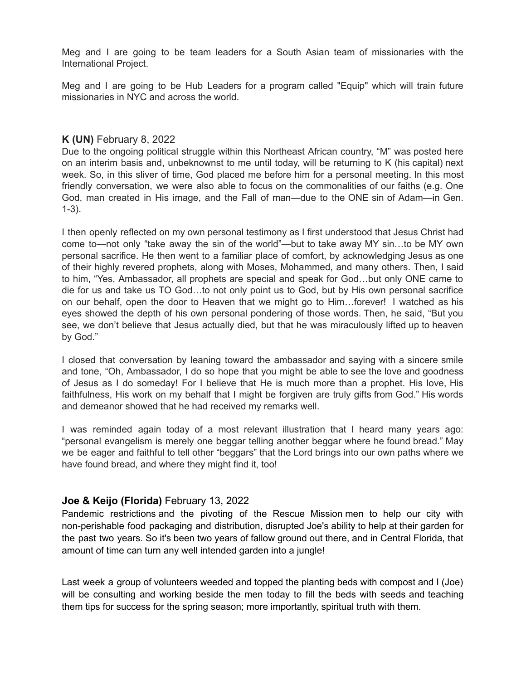Meg and I are going to be team leaders for a South Asian team of missionaries with the International Project.

Meg and I are going to be Hub Leaders for a program called "Equip" which will train future missionaries in NYC and across the world.

### **K (UN)** February 8, 2022

Due to the ongoing political struggle within this Northeast African country, "M" was posted here on an interim basis and, unbeknownst to me until today, will be returning to K (his capital) next week. So, in this sliver of time, God placed me before him for a personal meeting. In this most friendly conversation, we were also able to focus on the commonalities of our faiths (e.g. One God, man created in His image, and the Fall of man—due to the ONE sin of Adam—in Gen. 1-3).

I then openly reflected on my own personal testimony as I first understood that Jesus Christ had come to—not only "take away the sin of the world"—but to take away MY sin…to be MY own personal sacrifice. He then went to a familiar place of comfort, by acknowledging Jesus as one of their highly revered prophets, along with Moses, Mohammed, and many others. Then, I said to him, "Yes, Ambassador, all prophets are special and speak for God…but only ONE came to die for us and take us TO God…to not only point us to God, but by His own personal sacrifice on our behalf, open the door to Heaven that we might go to Him…forever! I watched as his eyes showed the depth of his own personal pondering of those words. Then, he said, "But you see, we don't believe that Jesus actually died, but that he was miraculously lifted up to heaven by God."

I closed that conversation by leaning toward the ambassador and saying with a sincere smile and tone, "Oh, Ambassador, I do so hope that you might be able to see the love and goodness of Jesus as I do someday! For I believe that He is much more than a prophet. His love, His faithfulness, His work on my behalf that I might be forgiven are truly gifts from God." His words and demeanor showed that he had received my remarks well.

I was reminded again today of a most relevant illustration that I heard many years ago: "personal evangelism is merely one beggar telling another beggar where he found bread." May we be eager and faithful to tell other "beggars" that the Lord brings into our own paths where we have found bread, and where they might find it, too!

### **Joe & Keijo (Florida)** February 13, 2022

Pandemic restrictions and the pivoting of the Rescue Mission men to help our city with non-perishable food packaging and distribution, disrupted Joe's ability to help at their garden for the past two years. So it's been two years of fallow ground out there, and in Central Florida, that amount of time can turn any well intended garden into a jungle!

Last week a group of volunteers weeded and topped the planting beds with compost and I (Joe) will be consulting and working beside the men today to fill the beds with seeds and teaching them tips for success for the spring season; more importantly, spiritual truth with them.